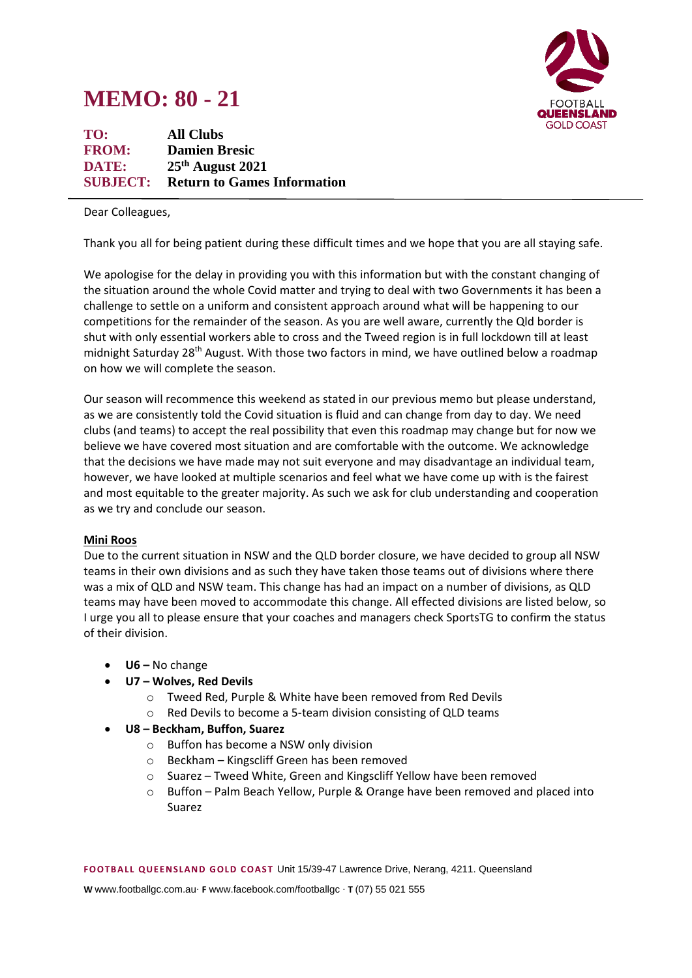# **MEMO: 80 - 21**



**TO: All Clubs FROM: Damien Bresic DATE: 25 th August 2021 SUBJECT: Return to Games Information**

Dear Colleagues,

Thank you all for being patient during these difficult times and we hope that you are all staying safe.

We apologise for the delay in providing you with this information but with the constant changing of the situation around the whole Covid matter and trying to deal with two Governments it has been a challenge to settle on a uniform and consistent approach around what will be happening to our competitions for the remainder of the season. As you are well aware, currently the Qld border is shut with only essential workers able to cross and the Tweed region is in full lockdown till at least midnight Saturday 28<sup>th</sup> August. With those two factors in mind, we have outlined below a roadmap on how we will complete the season.

Our season will recommence this weekend as stated in our previous memo but please understand, as we are consistently told the Covid situation is fluid and can change from day to day. We need clubs (and teams) to accept the real possibility that even this roadmap may change but for now we believe we have covered most situation and are comfortable with the outcome. We acknowledge that the decisions we have made may not suit everyone and may disadvantage an individual team, however, we have looked at multiple scenarios and feel what we have come up with is the fairest and most equitable to the greater majority. As such we ask for club understanding and cooperation as we try and conclude our season.

#### **Mini Roos**

Due to the current situation in NSW and the QLD border closure, we have decided to group all NSW teams in their own divisions and as such they have taken those teams out of divisions where there was a mix of QLD and NSW team. This change has had an impact on a number of divisions, as QLD teams may have been moved to accommodate this change. All effected divisions are listed below, so I urge you all to please ensure that your coaches and managers check SportsTG to confirm the status of their division.

- **U6 –** No change
- **U7 – Wolves, Red Devils**
	- o Tweed Red, Purple & White have been removed from Red Devils
	- o Red Devils to become a 5-team division consisting of QLD teams
- **U8 – Beckham, Buffon, Suarez**
	- o Buffon has become a NSW only division
	- o Beckham Kingscliff Green has been removed
	- o Suarez Tweed White, Green and Kingscliff Yellow have been removed
	- $\circ$  Buffon Palm Beach Yellow, Purple & Orange have been removed and placed into Suarez

**FOOTB ALL QUEEN SLAND G OLD COAST** Unit 15/39-47 Lawrence Drive, Nerang, 4211. Queensland

**W** www.footballgc.com.au. **F** www.facebook.com/footballgc . **T** (07) 55 021 555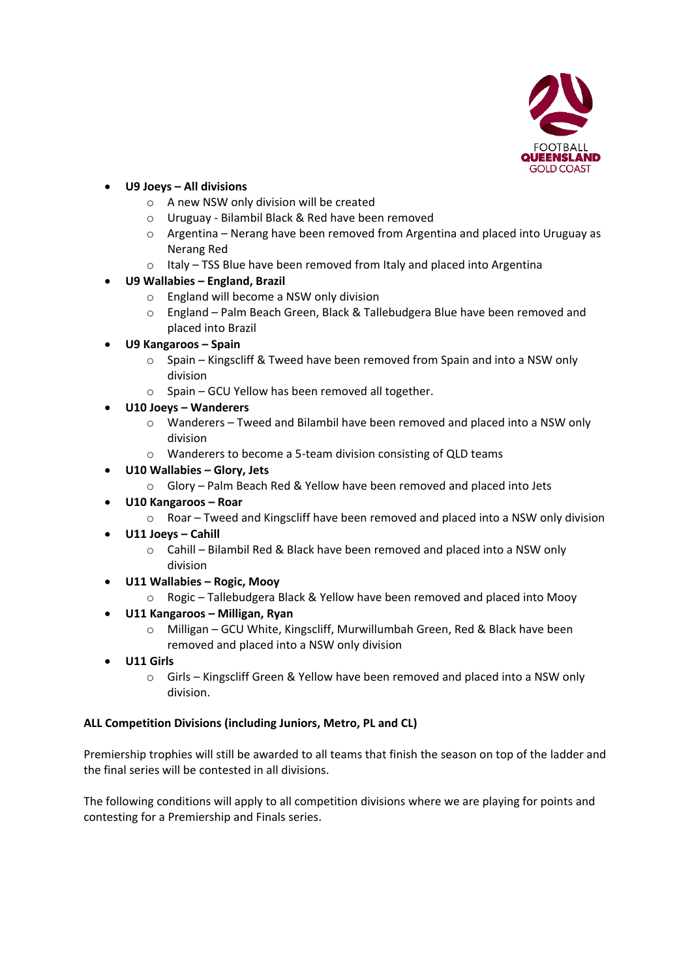

## • **U9 Joeys – All divisions**

- o A new NSW only division will be created
- o Uruguay Bilambil Black & Red have been removed
- $\circ$  Argentina Nerang have been removed from Argentina and placed into Uruguay as Nerang Red
- o Italy TSS Blue have been removed from Italy and placed into Argentina

## • **U9 Wallabies – England, Brazil**

- o England will become a NSW only division
- o England Palm Beach Green, Black & Tallebudgera Blue have been removed and placed into Brazil
- **U9 Kangaroos – Spain**
	- o Spain Kingscliff & Tweed have been removed from Spain and into a NSW only division
	- o Spain GCU Yellow has been removed all together.
- **U10 Joeys – Wanderers**
	- $\circ$  Wanderers Tweed and Bilambil have been removed and placed into a NSW only division
	- o Wanderers to become a 5-team division consisting of QLD teams
- **U10 Wallabies – Glory, Jets**
	- o Glory Palm Beach Red & Yellow have been removed and placed into Jets
- **U10 Kangaroos – Roar**
	- $\circ$  Roar Tweed and Kingscliff have been removed and placed into a NSW only division
- **U11 Joeys – Cahill**
	- o Cahill Bilambil Red & Black have been removed and placed into a NSW only division
- **U11 Wallabies – Rogic, Mooy**
	- o Rogic Tallebudgera Black & Yellow have been removed and placed into Mooy
- **U11 Kangaroos – Milligan, Ryan**
	- o Milligan GCU White, Kingscliff, Murwillumbah Green, Red & Black have been removed and placed into a NSW only division
- **U11 Girls** 
	- o Girls Kingscliff Green & Yellow have been removed and placed into a NSW only division.

### **ALL Competition Divisions (including Juniors, Metro, PL and CL)**

Premiership trophies will still be awarded to all teams that finish the season on top of the ladder and the final series will be contested in all divisions.

The following conditions will apply to all competition divisions where we are playing for points and contesting for a Premiership and Finals series.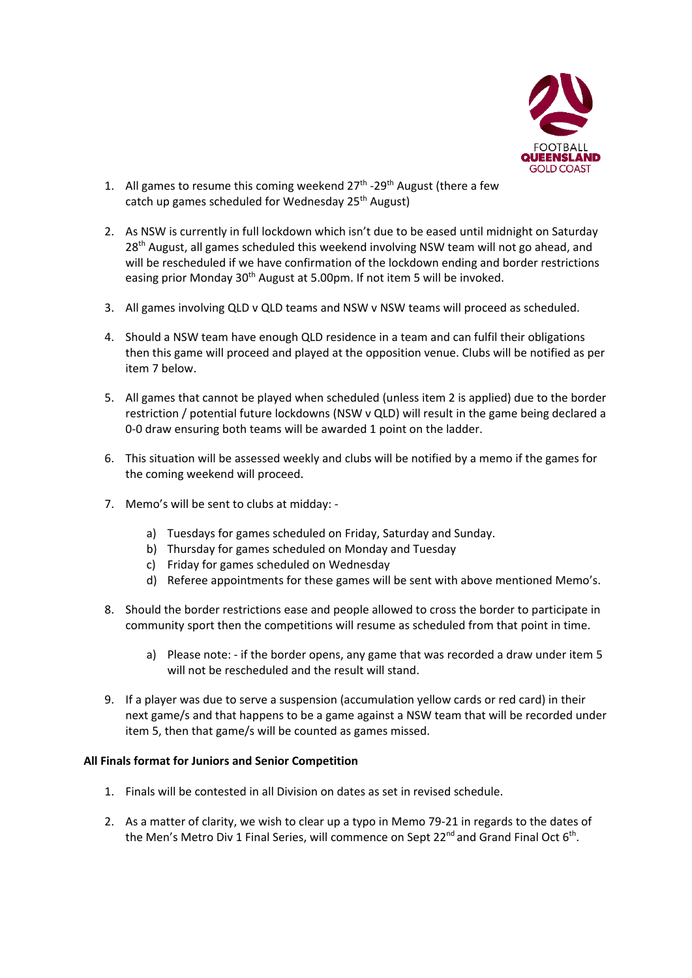

- 1. All games to resume this coming weekend  $27<sup>th</sup>$  -29<sup>th</sup> August (there a few catch up games scheduled for Wednesday 25<sup>th</sup> August)
- 2. As NSW is currently in full lockdown which isn't due to be eased until midnight on Saturday 28<sup>th</sup> August, all games scheduled this weekend involving NSW team will not go ahead, and will be rescheduled if we have confirmation of the lockdown ending and border restrictions easing prior Monday 30<sup>th</sup> August at 5.00pm. If not item 5 will be invoked.
- 3. All games involving QLD v QLD teams and NSW v NSW teams will proceed as scheduled.
- 4. Should a NSW team have enough QLD residence in a team and can fulfil their obligations then this game will proceed and played at the opposition venue. Clubs will be notified as per item 7 below.
- 5. All games that cannot be played when scheduled (unless item 2 is applied) due to the border restriction / potential future lockdowns (NSW v QLD) will result in the game being declared a 0-0 draw ensuring both teams will be awarded 1 point on the ladder.
- 6. This situation will be assessed weekly and clubs will be notified by a memo if the games for the coming weekend will proceed.
- 7. Memo's will be sent to clubs at midday:
	- a) Tuesdays for games scheduled on Friday, Saturday and Sunday.
	- b) Thursday for games scheduled on Monday and Tuesday
	- c) Friday for games scheduled on Wednesday
	- d) Referee appointments for these games will be sent with above mentioned Memo's.
- 8. Should the border restrictions ease and people allowed to cross the border to participate in community sport then the competitions will resume as scheduled from that point in time.
	- a) Please note: if the border opens, any game that was recorded a draw under item 5 will not be rescheduled and the result will stand.
- 9. If a player was due to serve a suspension (accumulation yellow cards or red card) in their next game/s and that happens to be a game against a NSW team that will be recorded under item 5, then that game/s will be counted as games missed.

#### **All Finals format for Juniors and Senior Competition**

- 1. Finals will be contested in all Division on dates as set in revised schedule.
- 2. As a matter of clarity, we wish to clear up a typo in Memo 79-21 in regards to the dates of the Men's Metro Div 1 Final Series, will commence on Sept 22<sup>nd</sup> and Grand Final Oct 6<sup>th</sup>.